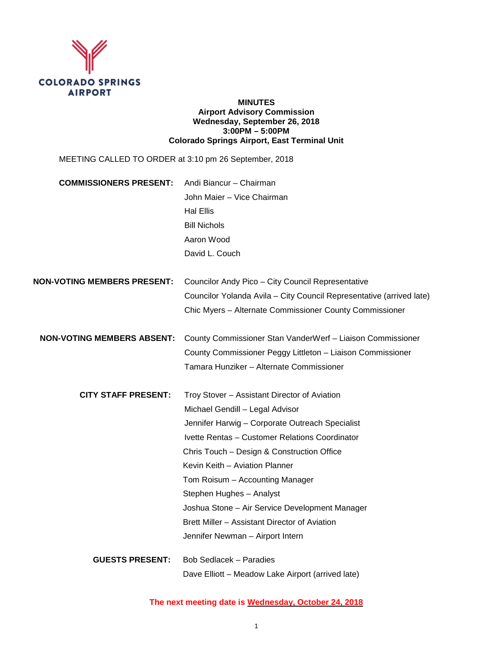

#### **MINUTES Airport Advisory Commission Wednesday, September 26, 2018 3:00PM – 5:00PM Colorado Springs Airport, East Terminal Unit**

| MEETING CALLED TO ORDER at 3:10 pm 26 September, 2018 |                                                                      |
|-------------------------------------------------------|----------------------------------------------------------------------|
| <b>COMMISSIONERS PRESENT:</b>                         | Andi Biancur - Chairman                                              |
|                                                       | John Maier - Vice Chairman                                           |
|                                                       | <b>Hal Ellis</b>                                                     |
|                                                       | <b>Bill Nichols</b>                                                  |
|                                                       | Aaron Wood                                                           |
|                                                       | David L. Couch                                                       |
| NON-VOTING MEMBERS PRESENT:                           | Councilor Andy Pico - City Council Representative                    |
|                                                       | Councilor Yolanda Avila - City Council Representative (arrived late) |
|                                                       | Chic Myers - Alternate Commissioner County Commissioner              |
| <b>NON-VOTING MEMBERS ABSENT:</b>                     | County Commissioner Stan VanderWerf - Liaison Commissioner           |
|                                                       | County Commissioner Peggy Littleton - Liaison Commissioner           |
|                                                       | Tamara Hunziker - Alternate Commissioner                             |
| <b>CITY STAFF PRESENT:</b>                            | Troy Stover - Assistant Director of Aviation                         |
|                                                       | Michael Gendill - Legal Advisor                                      |
|                                                       | Jennifer Harwig - Corporate Outreach Specialist                      |
|                                                       | Ivette Rentas - Customer Relations Coordinator                       |
|                                                       | Chris Touch - Design & Construction Office                           |
|                                                       | Kevin Keith - Aviation Planner                                       |
|                                                       | Tom Roisum - Accounting Manager                                      |
|                                                       | Stephen Hughes - Analyst                                             |
|                                                       | Joshua Stone - Air Service Development Manager                       |
|                                                       | Brett Miller - Assistant Director of Aviation                        |
|                                                       | Jennifer Newman - Airport Intern                                     |
| <b>GUESTS PRESENT:</b>                                | Bob Sedlacek - Paradies                                              |
|                                                       | Dave Elliott - Meadow Lake Airport (arrived late)                    |

### **The next meeting date is Wednesday, October 24, 2018**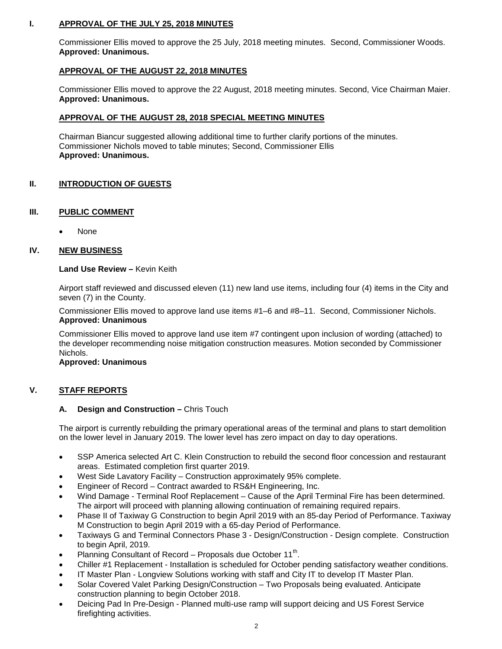## **I. APPROVAL OF THE JULY 25, 2018 MINUTES**

Commissioner Ellis moved to approve the 25 July, 2018 meeting minutes. Second, Commissioner Woods. **Approved: Unanimous.** 

### **APPROVAL OF THE AUGUST 22, 2018 MINUTES**

Commissioner Ellis moved to approve the 22 August, 2018 meeting minutes. Second, Vice Chairman Maier. **Approved: Unanimous.**

#### **APPROVAL OF THE AUGUST 28, 2018 SPECIAL MEETING MINUTES**

Chairman Biancur suggested allowing additional time to further clarify portions of the minutes. Commissioner Nichols moved to table minutes; Second, Commissioner Ellis **Approved: Unanimous.**

## **II. INTRODUCTION OF GUESTS**

### **III. PUBLIC COMMENT**

• None

### **IV. NEW BUSINESS**

#### **Land Use Review –** Kevin Keith

Airport staff reviewed and discussed eleven (11) new land use items, including four (4) items in the City and seven (7) in the County.

Commissioner Ellis moved to approve land use items #1–6 and #8–11. Second, Commissioner Nichols. **Approved: Unanimous** 

Commissioner Ellis moved to approve land use item #7 contingent upon inclusion of wording (attached) to the developer recommending noise mitigation construction measures. Motion seconded by Commissioner Nichols.

#### **Approved: Unanimous**

#### **V. STAFF REPORTS**

#### **A. Design and Construction –** Chris Touch

The airport is currently rebuilding the primary operational areas of the terminal and plans to start demolition on the lower level in January 2019. The lower level has zero impact on day to day operations.

- SSP America selected Art C. Klein Construction to rebuild the second floor concession and restaurant areas. Estimated completion first quarter 2019.
- West Side Lavatory Facility Construction approximately 95% complete.
- Engineer of Record Contract awarded to RS&H Engineering, Inc.
- Wind Damage Terminal Roof Replacement Cause of the April Terminal Fire has been determined. The airport will proceed with planning allowing continuation of remaining required repairs.
- Phase II of Taxiway G Construction to begin April 2019 with an 85-day Period of Performance. Taxiway M Construction to begin April 2019 with a 65-day Period of Performance.
- Taxiways G and Terminal Connectors Phase 3 Design/Construction Design complete. Construction to begin April, 2019.
- Planning Consultant of Record Proposals due October 11<sup>th</sup>.
- Chiller #1 Replacement Installation is scheduled for October pending satisfactory weather conditions.
- IT Master Plan Longview Solutions working with staff and City IT to develop IT Master Plan.
- Solar Covered Valet Parking Design/Construction Two Proposals being evaluated. Anticipate construction planning to begin October 2018.
- Deicing Pad In Pre-Design Planned multi-use ramp will support deicing and US Forest Service firefighting activities.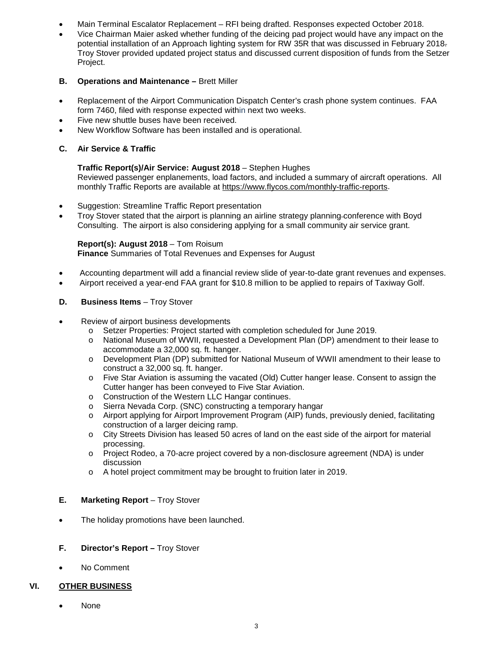- Main Terminal Escalator Replacement RFI being drafted. Responses expected October 2018.
- Vice Chairman Maier asked whether funding of the deicing pad project would have any impact on the potential installation of an Approach lighting system for RW 35R that was discussed in February 2018. Troy Stover provided updated project status and discussed current disposition of funds from the Setzer Project.

# **B. Operations and Maintenance –** Brett Miller

- Replacement of the Airport Communication Dispatch Center's crash phone system continues. FAA form 7460, filed with response expected within next two weeks.
- Five new shuttle buses have been received.
- New Workflow Software has been installed and is operational.

# **C. Air Service & Traffic**

## **Traffic Report(s)/Air Service: August 2018** – Stephen Hughes

Reviewed passenger enplanements, load factors, and included a summary of aircraft operations. All monthly Traffic Reports are available at [https://www.flycos.com/monthly-traffic-reports.](https://www.flycos.com/monthly-traffic-reports)

- Suggestion: Streamline Traffic Report presentation
- Troy Stover stated that the airport is planning an airline strategy planning conference with Boyd Consulting. The airport is also considering applying for a small community air service grant.

## **Report(s): August 2018** – Tom Roisum

**Finance** Summaries of Total Revenues and Expenses for August

- Accounting department will add a financial review slide of year-to-date grant revenues and expenses.
- Airport received a year-end FAA grant for \$10.8 million to be applied to repairs of Taxiway Golf.

# **D. Business Items** – Troy Stover

- Review of airport business developments
	- o Setzer Properties: Project started with completion scheduled for June 2019.
	- o National Museum of WWII, requested a Development Plan (DP) amendment to their lease to accommodate a 32,000 sq. ft. hanger.
	- o Development Plan (DP) submitted for National Museum of WWII amendment to their lease to construct a 32,000 sq. ft. hanger.
	- o Five Star Aviation is assuming the vacated (Old) Cutter hanger lease. Consent to assign the Cutter hanger has been conveyed to Five Star Aviation.
	- o Construction of the Western LLC Hangar continues.
	- o Sierra Nevada Corp. (SNC) constructing a temporary hangar
	- o Airport applying for Airport Improvement Program (AIP) funds, previously denied, facilitating construction of a larger deicing ramp.
	- o City Streets Division has leased 50 acres of land on the east side of the airport for material processing.
	- o Project Rodeo, a 70-acre project covered by a non-disclosure agreement (NDA) is under discussion
	- o A hotel project commitment may be brought to fruition later in 2019.

## **E. Marketing Report** – Troy Stover

- The holiday promotions have been launched.
- **F. Director's Report –** Troy Stover
- No Comment

## **VI. OTHER BUSINESS**

• None